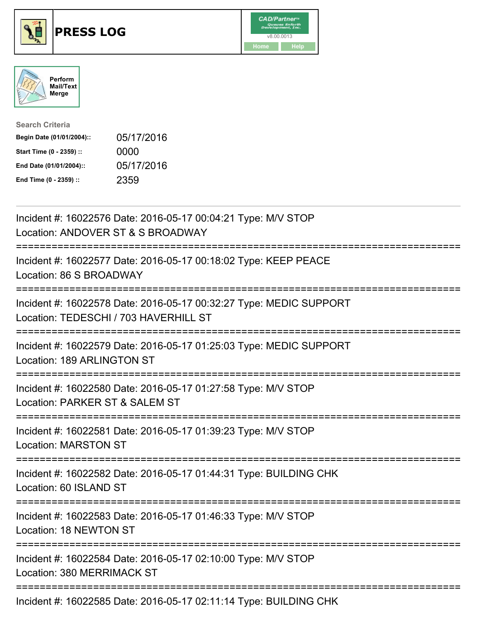





| <b>Search Criteria</b>    |            |
|---------------------------|------------|
| Begin Date (01/01/2004):: | 05/17/2016 |
| Start Time (0 - 2359) ::  | 0000       |
| End Date (01/01/2004)::   | 05/17/2016 |
| End Time (0 - 2359) ::    | 2359       |

| Incident #: 16022576 Date: 2016-05-17 00:04:21 Type: M/V STOP<br>Location: ANDOVER ST & S BROADWAY                  |
|---------------------------------------------------------------------------------------------------------------------|
| Incident #: 16022577 Date: 2016-05-17 00:18:02 Type: KEEP PEACE<br>Location: 86 S BROADWAY                          |
| Incident #: 16022578 Date: 2016-05-17 00:32:27 Type: MEDIC SUPPORT<br>Location: TEDESCHI / 703 HAVERHILL ST         |
| Incident #: 16022579 Date: 2016-05-17 01:25:03 Type: MEDIC SUPPORT<br>Location: 189 ARLINGTON ST                    |
| Incident #: 16022580 Date: 2016-05-17 01:27:58 Type: M/V STOP<br>Location: PARKER ST & SALEM ST<br>================ |
| Incident #: 16022581 Date: 2016-05-17 01:39:23 Type: M/V STOP<br><b>Location: MARSTON ST</b>                        |
| Incident #: 16022582 Date: 2016-05-17 01:44:31 Type: BUILDING CHK<br>Location: 60 ISLAND ST                         |
| Incident #: 16022583 Date: 2016-05-17 01:46:33 Type: M/V STOP<br>Location: 18 NEWTON ST                             |
| Incident #: 16022584 Date: 2016-05-17 02:10:00 Type: M/V STOP<br>Location: 380 MERRIMACK ST                         |
| Incident #: 16022585 Date: 2016-05-17 02:11:14 Type: BUILDING CHK                                                   |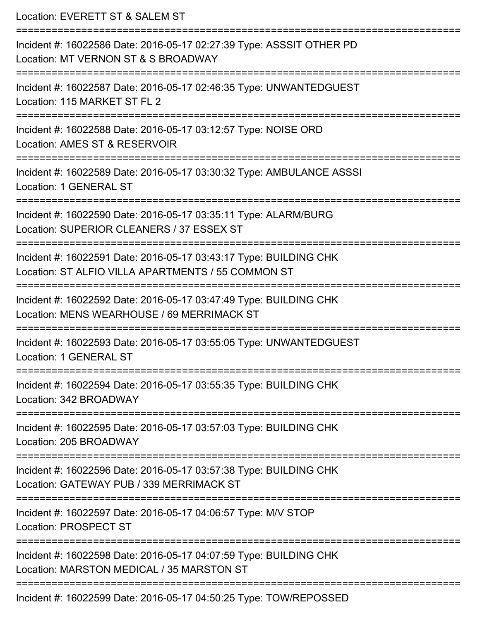Location: EVERETT ST & SALEM ST =========================================================================== Incident #: 16022586 Date: 2016-05-17 02:27:39 Type: ASSSIT OTHER PD Location: MT VERNON ST & S BROADWAY =========================================================================== Incident #: 16022587 Date: 2016-05-17 02:46:35 Type: UNWANTEDGUEST Location: 115 MARKET ST FL 2 =========================================================================== Incident #: 16022588 Date: 2016-05-17 03:12:57 Type: NOISE ORD Location: AMES ST & RESERVOIR =========================================================================== Incident #: 16022589 Date: 2016-05-17 03:30:32 Type: AMBULANCE ASSSI Location: 1 GENERAL ST =========================================================================== Incident #: 16022590 Date: 2016-05-17 03:35:11 Type: ALARM/BURG Location: SUPERIOR CLEANERS / 37 ESSEX ST =========================================================================== Incident #: 16022591 Date: 2016-05-17 03:43:17 Type: BUILDING CHK Location: ST ALFIO VILLA APARTMENTS / 55 COMMON ST =========================================================================== Incident #: 16022592 Date: 2016-05-17 03:47:49 Type: BUILDING CHK Location: MENS WEARHOUSE / 69 MERRIMACK ST =========================================================================== Incident #: 16022593 Date: 2016-05-17 03:55:05 Type: UNWANTEDGUEST Location: 1 GENERAL ST =========================================================================== Incident #: 16022594 Date: 2016-05-17 03:55:35 Type: BUILDING CHK Location: 342 BROADWAY =========================================================================== Incident #: 16022595 Date: 2016-05-17 03:57:03 Type: BUILDING CHK Location: 205 BROADWAY =========================================================================== Incident #: 16022596 Date: 2016-05-17 03:57:38 Type: BUILDING CHK Location: GATEWAY PUB / 339 MERRIMACK ST =========================================================================== Incident #: 16022597 Date: 2016-05-17 04:06:57 Type: M/V STOP Location: PROSPECT ST =========================================================================== Incident #: 16022598 Date: 2016-05-17 04:07:59 Type: BUILDING CHK Location: MARSTON MEDICAL / 35 MARSTON ST =========================================================================== Incident #: 16022599 Date: 2016-05-17 04:50:25 Type: TOW/REPOSSED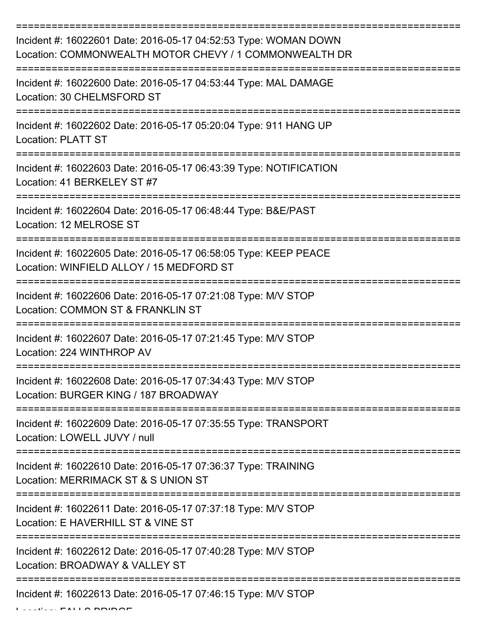| Incident #: 16022601 Date: 2016-05-17 04:52:53 Type: WOMAN DOWN<br>Location: COMMONWEALTH MOTOR CHEVY / 1 COMMONWEALTH DR |
|---------------------------------------------------------------------------------------------------------------------------|
| Incident #: 16022600 Date: 2016-05-17 04:53:44 Type: MAL DAMAGE<br>Location: 30 CHELMSFORD ST                             |
| Incident #: 16022602 Date: 2016-05-17 05:20:04 Type: 911 HANG UP<br><b>Location: PLATT ST</b>                             |
| Incident #: 16022603 Date: 2016-05-17 06:43:39 Type: NOTIFICATION<br>Location: 41 BERKELEY ST #7                          |
| Incident #: 16022604 Date: 2016-05-17 06:48:44 Type: B&E/PAST<br>Location: 12 MELROSE ST<br>======================        |
| Incident #: 16022605 Date: 2016-05-17 06:58:05 Type: KEEP PEACE<br>Location: WINFIELD ALLOY / 15 MEDFORD ST               |
| Incident #: 16022606 Date: 2016-05-17 07:21:08 Type: M/V STOP<br>Location: COMMON ST & FRANKLIN ST                        |
| Incident #: 16022607 Date: 2016-05-17 07:21:45 Type: M/V STOP<br>Location: 224 WINTHROP AV                                |
| Incident #: 16022608 Date: 2016-05-17 07:34:43 Type: M/V STOP<br>Location: BURGER KING / 187 BROADWAY                     |
| Incident #: 16022609 Date: 2016-05-17 07:35:55 Type: TRANSPORT<br>Location: LOWELL JUVY / null                            |
| Incident #: 16022610 Date: 2016-05-17 07:36:37 Type: TRAINING<br>Location: MERRIMACK ST & S UNION ST                      |
| Incident #: 16022611 Date: 2016-05-17 07:37:18 Type: M/V STOP<br>Location: E HAVERHILL ST & VINE ST                       |
| Incident #: 16022612 Date: 2016-05-17 07:40:28 Type: M/V STOP<br>Location: BROADWAY & VALLEY ST                           |
| Incident #: 16022613 Date: 2016-05-17 07:46:15 Type: M/V STOP                                                             |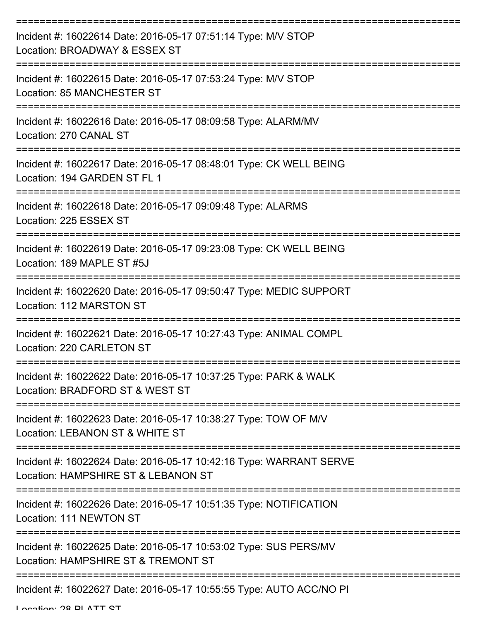| Incident #: 16022614 Date: 2016-05-17 07:51:14 Type: M/V STOP<br>Location: BROADWAY & ESSEX ST            |
|-----------------------------------------------------------------------------------------------------------|
| Incident #: 16022615 Date: 2016-05-17 07:53:24 Type: M/V STOP<br>Location: 85 MANCHESTER ST               |
| Incident #: 16022616 Date: 2016-05-17 08:09:58 Type: ALARM/MV<br>Location: 270 CANAL ST                   |
| Incident #: 16022617 Date: 2016-05-17 08:48:01 Type: CK WELL BEING<br>Location: 194 GARDEN ST FL 1        |
| Incident #: 16022618 Date: 2016-05-17 09:09:48 Type: ALARMS<br>Location: 225 ESSEX ST                     |
| Incident #: 16022619 Date: 2016-05-17 09:23:08 Type: CK WELL BEING<br>Location: 189 MAPLE ST #5J          |
| Incident #: 16022620 Date: 2016-05-17 09:50:47 Type: MEDIC SUPPORT<br><b>Location: 112 MARSTON ST</b>     |
| Incident #: 16022621 Date: 2016-05-17 10:27:43 Type: ANIMAL COMPL<br>Location: 220 CARLETON ST            |
| Incident #: 16022622 Date: 2016-05-17 10:37:25 Type: PARK & WALK<br>Location: BRADFORD ST & WEST ST       |
| Incident #: 16022623 Date: 2016-05-17 10:38:27 Type: TOW OF M/V<br>Location: LEBANON ST & WHITE ST        |
| Incident #: 16022624 Date: 2016-05-17 10:42:16 Type: WARRANT SERVE<br>Location: HAMPSHIRE ST & LEBANON ST |
| Incident #: 16022626 Date: 2016-05-17 10:51:35 Type: NOTIFICATION<br>Location: 111 NEWTON ST              |
| Incident #: 16022625 Date: 2016-05-17 10:53:02 Type: SUS PERS/MV<br>Location: HAMPSHIRE ST & TREMONT ST   |
| Incident #: 16022627 Date: 2016-05-17 10:55:55 Type: AUTO ACC/NO PI                                       |

Location: 28 PLATT CT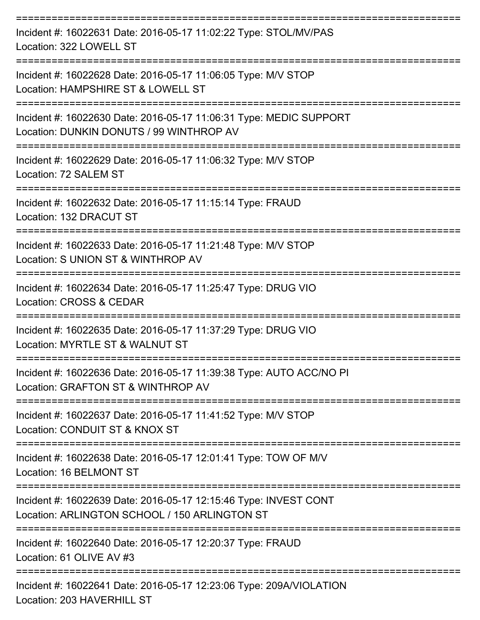| Incident #: 16022631 Date: 2016-05-17 11:02:22 Type: STOL/MV/PAS<br>Location: 322 LOWELL ST                                           |
|---------------------------------------------------------------------------------------------------------------------------------------|
| Incident #: 16022628 Date: 2016-05-17 11:06:05 Type: M/V STOP<br>Location: HAMPSHIRE ST & LOWELL ST                                   |
| Incident #: 16022630 Date: 2016-05-17 11:06:31 Type: MEDIC SUPPORT<br>Location: DUNKIN DONUTS / 99 WINTHROP AV<br>------------------- |
| Incident #: 16022629 Date: 2016-05-17 11:06:32 Type: M/V STOP<br>Location: 72 SALEM ST                                                |
| Incident #: 16022632 Date: 2016-05-17 11:15:14 Type: FRAUD<br>Location: 132 DRACUT ST                                                 |
| Incident #: 16022633 Date: 2016-05-17 11:21:48 Type: M/V STOP<br>Location: S UNION ST & WINTHROP AV                                   |
| Incident #: 16022634 Date: 2016-05-17 11:25:47 Type: DRUG VIO<br>Location: CROSS & CEDAR                                              |
| Incident #: 16022635 Date: 2016-05-17 11:37:29 Type: DRUG VIO<br>Location: MYRTLE ST & WALNUT ST                                      |
| Incident #: 16022636 Date: 2016-05-17 11:39:38 Type: AUTO ACC/NO PI<br>Location: GRAFTON ST & WINTHROP AV                             |
| Incident #: 16022637 Date: 2016-05-17 11:41:52 Type: M/V STOP<br>Location: CONDUIT ST & KNOX ST                                       |
| Incident #: 16022638 Date: 2016-05-17 12:01:41 Type: TOW OF M/V<br>Location: 16 BELMONT ST                                            |
| Incident #: 16022639 Date: 2016-05-17 12:15:46 Type: INVEST CONT<br>Location: ARLINGTON SCHOOL / 150 ARLINGTON ST                     |
| Incident #: 16022640 Date: 2016-05-17 12:20:37 Type: FRAUD<br>Location: 61 OLIVE AV #3                                                |
| Incident #: 16022641 Date: 2016-05-17 12:23:06 Type: 209A/VIOLATION<br>Location: 203 HAVERHILL ST                                     |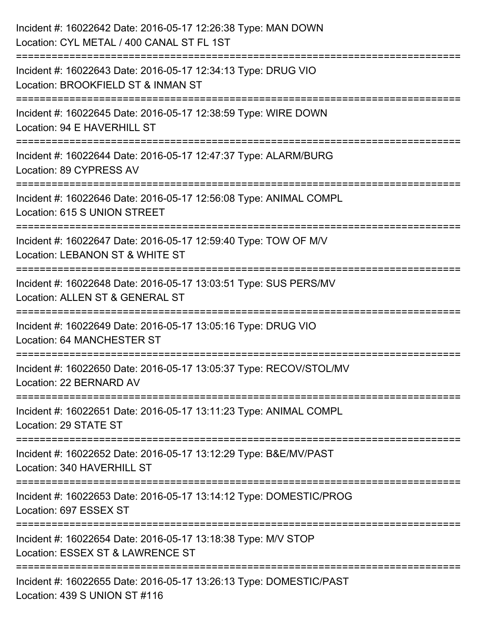| Incident #: 16022642 Date: 2016-05-17 12:26:38 Type: MAN DOWN<br>Location: CYL METAL / 400 CANAL ST FL 1ST                     |
|--------------------------------------------------------------------------------------------------------------------------------|
| Incident #: 16022643 Date: 2016-05-17 12:34:13 Type: DRUG VIO<br>Location: BROOKFIELD ST & INMAN ST                            |
| Incident #: 16022645 Date: 2016-05-17 12:38:59 Type: WIRE DOWN<br>Location: 94 E HAVERHILL ST                                  |
| ================================<br>Incident #: 16022644 Date: 2016-05-17 12:47:37 Type: ALARM/BURG<br>Location: 89 CYPRESS AV |
| Incident #: 16022646 Date: 2016-05-17 12:56:08 Type: ANIMAL COMPL<br>Location: 615 S UNION STREET                              |
| Incident #: 16022647 Date: 2016-05-17 12:59:40 Type: TOW OF M/V<br>Location: LEBANON ST & WHITE ST                             |
| Incident #: 16022648 Date: 2016-05-17 13:03:51 Type: SUS PERS/MV<br>Location: ALLEN ST & GENERAL ST                            |
| Incident #: 16022649 Date: 2016-05-17 13:05:16 Type: DRUG VIO<br><b>Location: 64 MANCHESTER ST</b>                             |
| Incident #: 16022650 Date: 2016-05-17 13:05:37 Type: RECOV/STOL/MV<br>Location: 22 BERNARD AV                                  |
| Incident #: 16022651 Date: 2016-05-17 13:11:23 Type: ANIMAL COMPL<br>Location: 29 STATE ST                                     |
| Incident #: 16022652 Date: 2016-05-17 13:12:29 Type: B&E/MV/PAST<br>Location: 340 HAVERHILL ST                                 |
| Incident #: 16022653 Date: 2016-05-17 13:14:12 Type: DOMESTIC/PROG<br>Location: 697 ESSEX ST                                   |
| Incident #: 16022654 Date: 2016-05-17 13:18:38 Type: M/V STOP<br>Location: ESSEX ST & LAWRENCE ST                              |
| Incident #: 16022655 Date: 2016-05-17 13:26:13 Type: DOMESTIC/PAST<br>Location: 439 S UNION ST #116                            |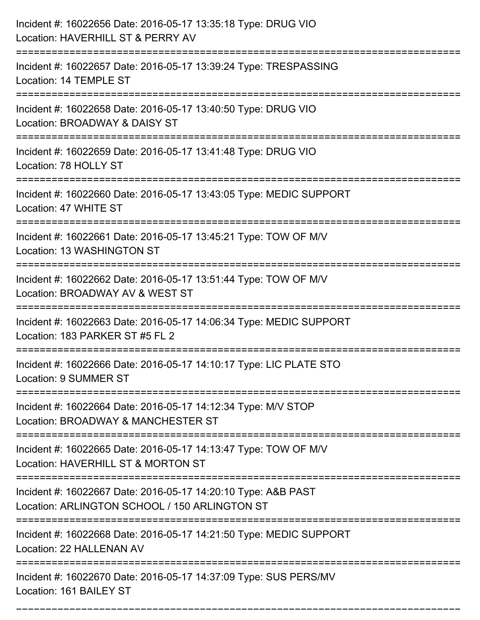| Incident #: 16022656 Date: 2016-05-17 13:35:18 Type: DRUG VIO<br>Location: HAVERHILL ST & PERRY AV                                  |
|-------------------------------------------------------------------------------------------------------------------------------------|
| Incident #: 16022657 Date: 2016-05-17 13:39:24 Type: TRESPASSING<br>Location: 14 TEMPLE ST                                          |
| Incident #: 16022658 Date: 2016-05-17 13:40:50 Type: DRUG VIO<br>Location: BROADWAY & DAISY ST<br>:================================ |
| Incident #: 16022659 Date: 2016-05-17 13:41:48 Type: DRUG VIO<br>Location: 78 HOLLY ST                                              |
| Incident #: 16022660 Date: 2016-05-17 13:43:05 Type: MEDIC SUPPORT<br>Location: 47 WHITE ST                                         |
| Incident #: 16022661 Date: 2016-05-17 13:45:21 Type: TOW OF M/V<br>Location: 13 WASHINGTON ST                                       |
| Incident #: 16022662 Date: 2016-05-17 13:51:44 Type: TOW OF M/V<br>Location: BROADWAY AV & WEST ST                                  |
| Incident #: 16022663 Date: 2016-05-17 14:06:34 Type: MEDIC SUPPORT<br>Location: 183 PARKER ST #5 FL 2                               |
| Incident #: 16022666 Date: 2016-05-17 14:10:17 Type: LIC PLATE STO<br>Location: 9 SUMMER ST                                         |
| Incident #: 16022664 Date: 2016-05-17 14:12:34 Type: M/V STOP<br>Location: BROADWAY & MANCHESTER ST                                 |
| Incident #: 16022665 Date: 2016-05-17 14:13:47 Type: TOW OF M/V<br>Location: HAVERHILL ST & MORTON ST                               |
| Incident #: 16022667 Date: 2016-05-17 14:20:10 Type: A&B PAST<br>Location: ARLINGTON SCHOOL / 150 ARLINGTON ST                      |
| Incident #: 16022668 Date: 2016-05-17 14:21:50 Type: MEDIC SUPPORT<br>Location: 22 HALLENAN AV                                      |
| Incident #: 16022670 Date: 2016-05-17 14:37:09 Type: SUS PERS/MV<br>Location: 161 BAILEY ST                                         |

===========================================================================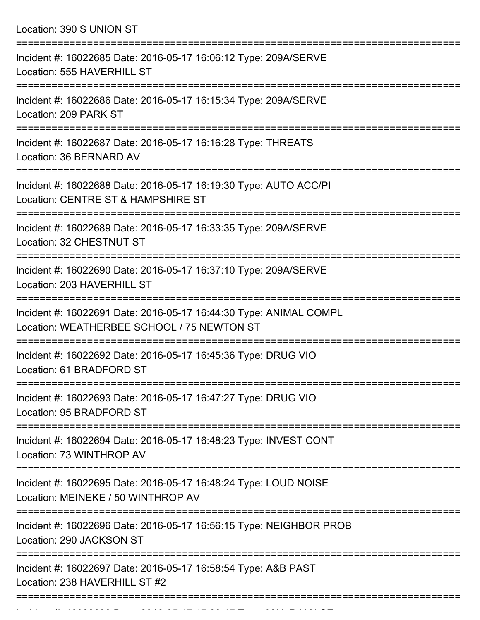Location: 390 S UNION ST =========================================================================== Incident #: 16022685 Date: 2016-05-17 16:06:12 Type: 209A/SERVE Location: 555 HAVERHILL ST =========================================================================== Incident #: 16022686 Date: 2016-05-17 16:15:34 Type: 209A/SERVE Location: 209 PARK ST =========================================================================== Incident #: 16022687 Date: 2016-05-17 16:16:28 Type: THREATS Location: 36 BERNARD AV =========================================================================== Incident #: 16022688 Date: 2016-05-17 16:19:30 Type: AUTO ACC/PI Location: CENTRE ST & HAMPSHIRE ST =========================================================================== Incident #: 16022689 Date: 2016-05-17 16:33:35 Type: 209A/SERVE Location: 32 CHESTNUT ST =========================================================================== Incident #: 16022690 Date: 2016-05-17 16:37:10 Type: 209A/SERVE Location: 203 HAVERHILL ST =========================================================================== Incident #: 16022691 Date: 2016-05-17 16:44:30 Type: ANIMAL COMPL Location: WEATHERBEE SCHOOL / 75 NEWTON ST =========================================================================== Incident #: 16022692 Date: 2016-05-17 16:45:36 Type: DRUG VIO Location: 61 BRADFORD ST =========================================================================== Incident #: 16022693 Date: 2016-05-17 16:47:27 Type: DRUG VIO Location: 95 BRADFORD ST =========================================================================== Incident #: 16022694 Date: 2016-05-17 16:48:23 Type: INVEST CONT Location: 73 WINTHROP AV =========================================================================== Incident #: 16022695 Date: 2016-05-17 16:48:24 Type: LOUD NOISE Location: MEINEKE / 50 WINTHROP AV =========================================================================== Incident #: 16022696 Date: 2016-05-17 16:56:15 Type: NEIGHBOR PROB Location: 290 JACKSON ST =========================================================================== Incident #: 16022697 Date: 2016-05-17 16:58:54 Type: A&B PAST Location: 238 HAVERHILL ST #2

===========================================================================

Incident #: 16022698 Date: 2016 05 17 17:08:17 Type: MAL DAMAGE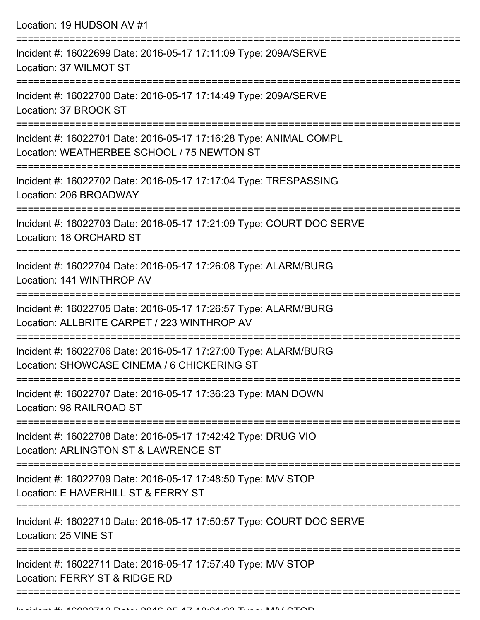Location: 19 HUDSON AV #1 =========================================================================== Incident #: 16022699 Date: 2016-05-17 17:11:09 Type: 209A/SERVE Location: 37 WILMOT ST =========================================================================== Incident #: 16022700 Date: 2016-05-17 17:14:49 Type: 209A/SERVE Location: 37 BROOK ST =========================================================================== Incident #: 16022701 Date: 2016-05-17 17:16:28 Type: ANIMAL COMPL Location: WEATHERBEE SCHOOL / 75 NEWTON ST =========================================================================== Incident #: 16022702 Date: 2016-05-17 17:17:04 Type: TRESPASSING Location: 206 BROADWAY =========================================================================== Incident #: 16022703 Date: 2016-05-17 17:21:09 Type: COURT DOC SERVE Location: 18 ORCHARD ST =========================================================================== Incident #: 16022704 Date: 2016-05-17 17:26:08 Type: ALARM/BURG Location: 141 WINTHROP AV =========================================================================== Incident #: 16022705 Date: 2016-05-17 17:26:57 Type: ALARM/BURG Location: ALLBRITE CARPET / 223 WINTHROP AV =========================================================================== Incident #: 16022706 Date: 2016-05-17 17:27:00 Type: ALARM/BURG Location: SHOWCASE CINEMA / 6 CHICKERING ST =========================================================================== Incident #: 16022707 Date: 2016-05-17 17:36:23 Type: MAN DOWN Location: 98 RAILROAD ST =========================================================================== Incident #: 16022708 Date: 2016-05-17 17:42:42 Type: DRUG VIO Location: ARLINGTON ST & LAWRENCE ST =========================================================================== Incident #: 16022709 Date: 2016-05-17 17:48:50 Type: M/V STOP Location: E HAVERHILL ST & FERRY ST =========================================================================== Incident #: 16022710 Date: 2016-05-17 17:50:57 Type: COURT DOC SERVE Location: 25 VINE ST =========================================================================== Incident #: 16022711 Date: 2016-05-17 17:57:40 Type: M/V STOP Location: FERRY ST & RIDGE RD

=====================================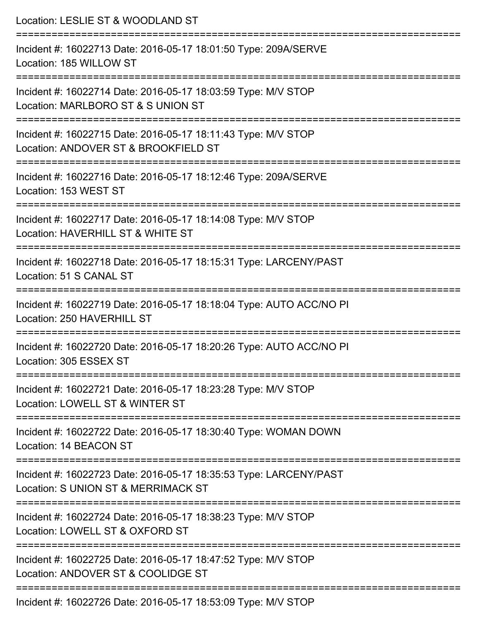| Location: LESLIE ST & WOODLAND ST                                                                                          |
|----------------------------------------------------------------------------------------------------------------------------|
| Incident #: 16022713 Date: 2016-05-17 18:01:50 Type: 209A/SERVE<br>Location: 185 WILLOW ST                                 |
| Incident #: 16022714 Date: 2016-05-17 18:03:59 Type: M/V STOP<br>Location: MARLBORO ST & S UNION ST                        |
| Incident #: 16022715 Date: 2016-05-17 18:11:43 Type: M/V STOP<br>Location: ANDOVER ST & BROOKFIELD ST                      |
| :=======================<br>Incident #: 16022716 Date: 2016-05-17 18:12:46 Type: 209A/SERVE<br>Location: 153 WEST ST       |
| Incident #: 16022717 Date: 2016-05-17 18:14:08 Type: M/V STOP<br>Location: HAVERHILL ST & WHITE ST                         |
| Incident #: 16022718 Date: 2016-05-17 18:15:31 Type: LARCENY/PAST<br>Location: 51 S CANAL ST                               |
| Incident #: 16022719 Date: 2016-05-17 18:18:04 Type: AUTO ACC/NO PI<br>Location: 250 HAVERHILL ST                          |
| Incident #: 16022720 Date: 2016-05-17 18:20:26 Type: AUTO ACC/NO PI<br>Location: 305 ESSEX ST<br>------------------------- |
| Incident #: 16022721 Date: 2016-05-17 18:23:28 Type: M/V STOP<br>Location: LOWELL ST & WINTER ST                           |
| Incident #: 16022722 Date: 2016-05-17 18:30:40 Type: WOMAN DOWN<br>Location: 14 BEACON ST                                  |
| Incident #: 16022723 Date: 2016-05-17 18:35:53 Type: LARCENY/PAST<br>Location: S UNION ST & MERRIMACK ST                   |
| Incident #: 16022724 Date: 2016-05-17 18:38:23 Type: M/V STOP<br>Location: LOWELL ST & OXFORD ST                           |
| Incident #: 16022725 Date: 2016-05-17 18:47:52 Type: M/V STOP<br>Location: ANDOVER ST & COOLIDGE ST                        |
| Incident #: 16022726 Date: 2016-05-17 18:53:09 Type: M/V STOP                                                              |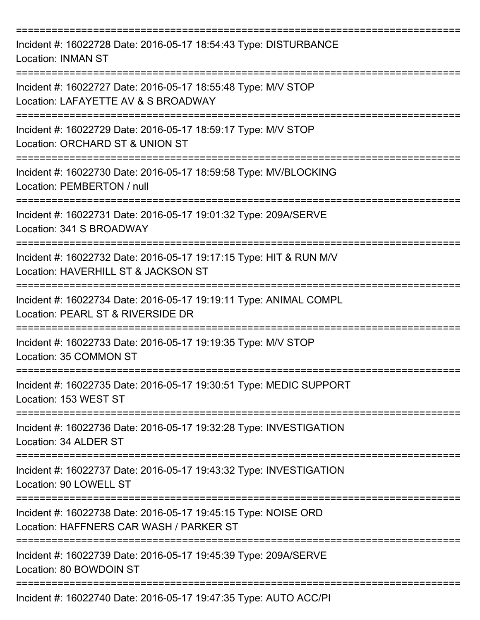| Incident #: 16022728 Date: 2016-05-17 18:54:43 Type: DISTURBANCE<br><b>Location: INMAN ST</b>             |
|-----------------------------------------------------------------------------------------------------------|
| Incident #: 16022727 Date: 2016-05-17 18:55:48 Type: M/V STOP<br>Location: LAFAYETTE AV & S BROADWAY      |
| Incident #: 16022729 Date: 2016-05-17 18:59:17 Type: M/V STOP<br>Location: ORCHARD ST & UNION ST          |
| Incident #: 16022730 Date: 2016-05-17 18:59:58 Type: MV/BLOCKING<br>Location: PEMBERTON / null            |
| Incident #: 16022731 Date: 2016-05-17 19:01:32 Type: 209A/SERVE<br>Location: 341 S BROADWAY               |
| Incident #: 16022732 Date: 2016-05-17 19:17:15 Type: HIT & RUN M/V<br>Location: HAVERHILL ST & JACKSON ST |
| Incident #: 16022734 Date: 2016-05-17 19:19:11 Type: ANIMAL COMPL<br>Location: PEARL ST & RIVERSIDE DR    |
| Incident #: 16022733 Date: 2016-05-17 19:19:35 Type: M/V STOP<br>Location: 35 COMMON ST                   |
| Incident #: 16022735 Date: 2016-05-17 19:30:51 Type: MEDIC SUPPORT<br>Location: 153 WEST ST               |
| Incident #: 16022736 Date: 2016-05-17 19:32:28 Type: INVESTIGATION<br>Location: 34 ALDER ST               |
| Incident #: 16022737 Date: 2016-05-17 19:43:32 Type: INVESTIGATION<br>Location: 90 LOWELL ST              |
| Incident #: 16022738 Date: 2016-05-17 19:45:15 Type: NOISE ORD<br>Location: HAFFNERS CAR WASH / PARKER ST |
| Incident #: 16022739 Date: 2016-05-17 19:45:39 Type: 209A/SERVE<br>Location: 80 BOWDOIN ST                |
| Incident #: 16022740 Date: 2016-05-17 19:47:35 Type: AUTO ACC/PI                                          |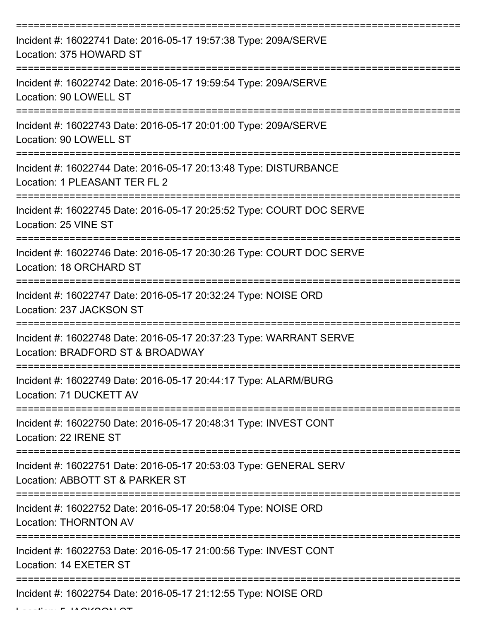| Incident #: 16022741 Date: 2016-05-17 19:57:38 Type: 209A/SERVE<br>Location: 375 HOWARD ST             |
|--------------------------------------------------------------------------------------------------------|
| Incident #: 16022742 Date: 2016-05-17 19:59:54 Type: 209A/SERVE<br>Location: 90 LOWELL ST              |
| Incident #: 16022743 Date: 2016-05-17 20:01:00 Type: 209A/SERVE<br>Location: 90 LOWELL ST              |
| Incident #: 16022744 Date: 2016-05-17 20:13:48 Type: DISTURBANCE<br>Location: 1 PLEASANT TER FL 2      |
| Incident #: 16022745 Date: 2016-05-17 20:25:52 Type: COURT DOC SERVE<br>Location: 25 VINE ST           |
| Incident #: 16022746 Date: 2016-05-17 20:30:26 Type: COURT DOC SERVE<br>Location: 18 ORCHARD ST        |
| Incident #: 16022747 Date: 2016-05-17 20:32:24 Type: NOISE ORD<br>Location: 237 JACKSON ST             |
| Incident #: 16022748 Date: 2016-05-17 20:37:23 Type: WARRANT SERVE<br>Location: BRADFORD ST & BROADWAY |
| Incident #: 16022749 Date: 2016-05-17 20:44:17 Type: ALARM/BURG<br>Location: 71 DUCKETT AV             |
| Incident #: 16022750 Date: 2016-05-17 20:48:31 Type: INVEST CONT<br>Location: 22 IRENE ST              |
| Incident #: 16022751 Date: 2016-05-17 20:53:03 Type: GENERAL SERV<br>Location: ABBOTT ST & PARKER ST   |
| Incident #: 16022752 Date: 2016-05-17 20:58:04 Type: NOISE ORD<br><b>Location: THORNTON AV</b>         |
| Incident #: 16022753 Date: 2016-05-17 21:00:56 Type: INVEST CONT<br>Location: 14 EXETER ST             |
| Incident #: 16022754 Date: 2016-05-17 21:12:55 Type: NOISE ORD                                         |

 $L_{\text{max}} = 14$  ALACALI AT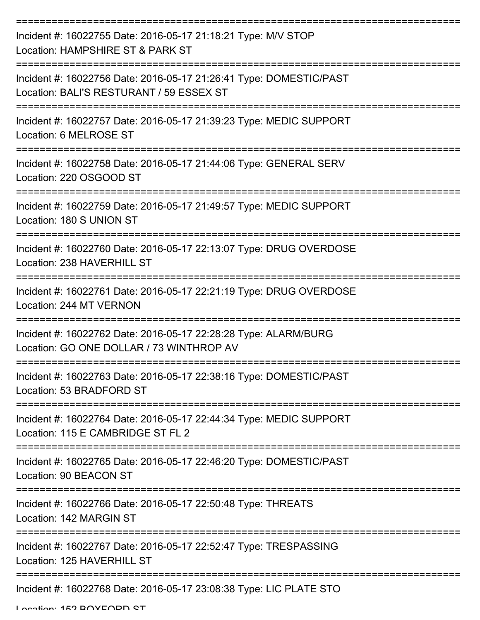| Incident #: 16022755 Date: 2016-05-17 21:18:21 Type: M/V STOP<br>Location: HAMPSHIRE ST & PARK ST              |
|----------------------------------------------------------------------------------------------------------------|
| Incident #: 16022756 Date: 2016-05-17 21:26:41 Type: DOMESTIC/PAST<br>Location: BALI'S RESTURANT / 59 ESSEX ST |
| Incident #: 16022757 Date: 2016-05-17 21:39:23 Type: MEDIC SUPPORT<br>Location: 6 MELROSE ST                   |
| Incident #: 16022758 Date: 2016-05-17 21:44:06 Type: GENERAL SERV<br>Location: 220 OSGOOD ST                   |
| Incident #: 16022759 Date: 2016-05-17 21:49:57 Type: MEDIC SUPPORT<br>Location: 180 S UNION ST                 |
| Incident #: 16022760 Date: 2016-05-17 22:13:07 Type: DRUG OVERDOSE<br>Location: 238 HAVERHILL ST               |
| Incident #: 16022761 Date: 2016-05-17 22:21:19 Type: DRUG OVERDOSE<br>Location: 244 MT VERNON                  |
| Incident #: 16022762 Date: 2016-05-17 22:28:28 Type: ALARM/BURG<br>Location: GO ONE DOLLAR / 73 WINTHROP AV    |
| Incident #: 16022763 Date: 2016-05-17 22:38:16 Type: DOMESTIC/PAST<br>Location: 53 BRADFORD ST                 |
| Incident #: 16022764 Date: 2016-05-17 22:44:34 Type: MEDIC SUPPORT<br>Location: 115 E CAMBRIDGE ST FL 2        |
| Incident #: 16022765 Date: 2016-05-17 22:46:20 Type: DOMESTIC/PAST<br>Location: 90 BEACON ST                   |
| Incident #: 16022766 Date: 2016-05-17 22:50:48 Type: THREATS<br>Location: 142 MARGIN ST                        |
| Incident #: 16022767 Date: 2016-05-17 22:52:47 Type: TRESPASSING<br>Location: 125 HAVERHILL ST                 |
| Incident #: 16022768 Date: 2016-05-17 23:08:38 Type: LIC PLATE STO                                             |